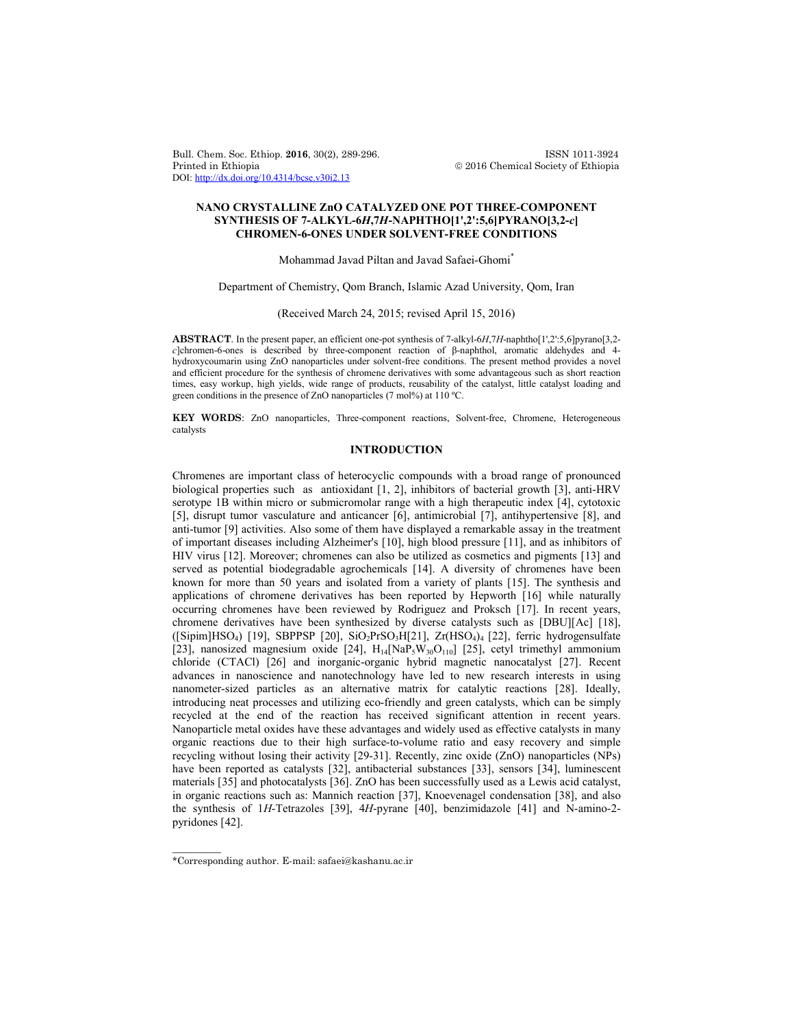Bull. Chem. Soc. Ethiop. **2016**, 30(2), 289-296. ISSN 1011-3924 DOI: http://dx.doi.org/10.4314/bcse.v30i2.13

 $© 2016 Chemical Society of Ethiopia$ 

# **NANO CRYSTALLINE ZnO CATALYZED ONE POT THREE-COMPONENT SYNTHESIS OF 7-ALKYL-6***H***,7***H***-NAPHTHO[1',2':5,6]PYRANO[3,2-***c***] CHROMEN-6-ONES UNDER SOLVENT-FREE CONDITIONS**

#### Mohammad Javad Piltan and Javad Safaei-Ghomi\*

Department of Chemistry, Qom Branch, Islamic Azad University, Qom, Iran

## (Received March 24, 2015; revised April 15, 2016)

**ABSTRACT**. In the present paper, an efficient one-pot synthesis of 7-alkyl-6*H*,7*H*-naphtho[1',2':5,6]pyrano[3,2*c*]chromen-6-ones is described by three-component reaction of β-naphthol, aromatic aldehydes and 4 hydroxycoumarin using ZnO nanoparticles under solvent-free conditions. The present method provides a novel and efficient procedure for the synthesis of chromene derivatives with some advantageous such as short reaction times, easy workup, high yields, wide range of products, reusability of the catalyst, little catalyst loading and green conditions in the presence of ZnO nanoparticles (7 mol%) at 110 ºC.

**KEY WORDS**: ZnO nanoparticles, Three-component reactions, Solvent-free, Chromene, Heterogeneous catalysts

# **INTRODUCTION**

Chromenes are important class of heterocyclic compounds with a broad range of pronounced biological properties such as antioxidant [1, 2], inhibitors of bacterial growth [3], anti-HRV serotype 1B within micro or submicromolar range with a high therapeutic index [4], cytotoxic [5], disrupt tumor vasculature and anticancer [6], antimicrobial [7], antihypertensive [8], and anti-tumor [9] activities. Also some of them have displayed a remarkable assay in the treatment of important diseases including Alzheimer's [10], high blood pressure [11], and as inhibitors of HIV virus [12]. Moreover; chromenes can also be utilized as cosmetics and pigments [13] and served as potential biodegradable agrochemicals [14]. A diversity of chromenes have been known for more than 50 years and isolated from a variety of plants [15]. The synthesis and applications of chromene derivatives has been reported by Hepworth [16] while naturally occurring chromenes have been reviewed by Rodriguez and Proksch [17]. In recent years, chromene derivatives have been synthesized by diverse catalysts such as [DBU][Ac] [18], ([Sipim]HSO<sub>4</sub>) [19], SBPPSP [20], SiO<sub>2</sub>PrSO<sub>3</sub>H[21], Zr(HSO<sub>4</sub>)<sub>4</sub> [22], ferric hydrogensulfate [23], nanosized magnesium oxide [24],  $H_{14}$ [NaP<sub>5</sub>W<sub>30</sub>O<sub>110</sub>] [25], cetyl trimethyl ammonium chloride (CTACl) [26] and inorganic-organic hybrid magnetic nanocatalyst [27]. Recent advances in nanoscience and nanotechnology have led to new research interests in using nanometer-sized particles as an alternative matrix for catalytic reactions [28]. Ideally, introducing neat processes and utilizing eco-friendly and green catalysts, which can be simply recycled at the end of the reaction has received significant attention in recent years. Nanoparticle metal oxides have these advantages and widely used as effective catalysts in many organic reactions due to their high surface-to-volume ratio and easy recovery and simple recycling without losing their activity [29-31]. Recently, zinc oxide (ZnO) nanoparticles (NPs) have been reported as catalysts [32], antibacterial substances [33], sensors [34], luminescent materials [35] and photocatalysts [36]. ZnO has been successfully used as a Lewis acid catalyst, in organic reactions such as: Mannich reaction [37], Knoevenagel condensation [38], and also the synthesis of 1*H*-Tetrazoles [39], 4*H*-pyrane [40], benzimidazole [41] and N-amino-2 pyridones [42].

 $\overline{\phantom{a}}$ 

<sup>\*</sup>Corresponding author. E-mail: safaei@kashanu.ac.ir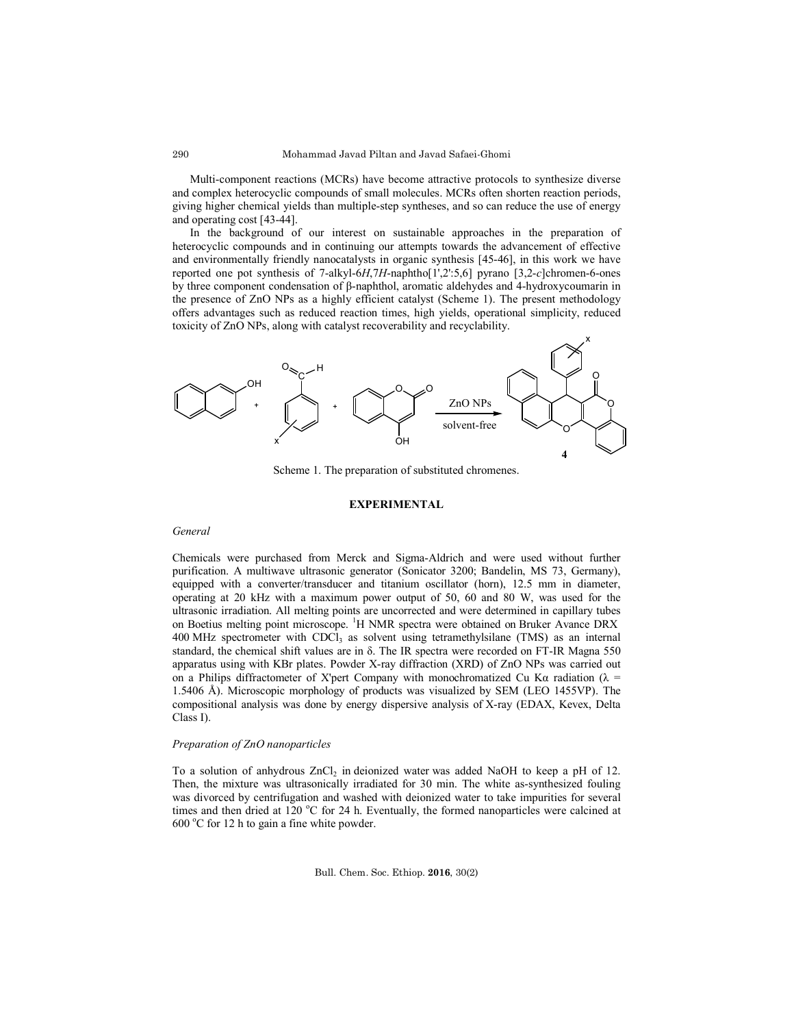Multi-component reactions (MCRs) have become attractive protocols to synthesize diverse and complex heterocyclic compounds of small molecules. MCRs often shorten reaction periods, giving higher chemical yields than multiple-step syntheses, and so can reduce the use of energy and operating cost [43-44].

In the background of our interest on sustainable approaches in the preparation of heterocyclic compounds and in continuing our attempts towards the advancement of effective and environmentally friendly nanocatalysts in organic synthesis [45-46], in this work we have reported one pot synthesis of 7-alkyl-6*H*,7*H*-naphtho[1',2':5,6] pyrano [3,2-*c*]chromen-6-ones by three component condensation of β-naphthol, aromatic aldehydes and 4-hydroxycoumarin in the presence of ZnO NPs as a highly efficient catalyst (Scheme 1). The present methodology offers advantages such as reduced reaction times, high yields, operational simplicity, reduced toxicity of ZnO NPs, along with catalyst recoverability and recyclability.



Scheme 1. The preparation of substituted chromenes.

## **EXPERIMENTAL**

## *General*

Chemicals were purchased from Merck and Sigma-Aldrich and were used without further purification. A multiwave ultrasonic generator (Sonicator 3200; Bandelin, MS 73, Germany), equipped with a converter/transducer and titanium oscillator (horn), 12.5 mm in diameter, operating at 20 kHz with a maximum power output of 50, 60 and 80 W, was used for the ultrasonic irradiation. All melting points are uncorrected and were determined in capillary tubes on Boetius melting point microscope. <sup>1</sup>H NMR spectra were obtained on Bruker Avance DRX 400 MHz spectrometer with CDCl<sub>3</sub> as solvent using tetramethylsilane (TMS) as an internal standard, the chemical shift values are in δ. The IR spectra were recorded on FT-IR Magna 550 apparatus using with KBr plates. Powder X-ray diffraction (XRD) of ZnO NPs was carried out on a Philips diffractometer of X'pert Company with monochromatized Cu K $\alpha$  radiation ( $\lambda$  = 1.5406 Å). Microscopic morphology of products was visualized by SEM (LEO 1455VP). The compositional analysis was done by energy dispersive analysis of X-ray (EDAX, Kevex, Delta Class I).

#### *Preparation of ZnO nanoparticles*

To a solution of anhydrous ZnCl<sub>2</sub> in deionized water was added NaOH to keep a pH of 12. Then, the mixture was ultrasonically irradiated for 30 min. The white as-synthesized fouling was divorced by centrifugation and washed with deionized water to take impurities for several times and then dried at 120 °C for 24 h. Eventually, the formed nanoparticles were calcined at 600 °C for 12 h to gain a fine white powder.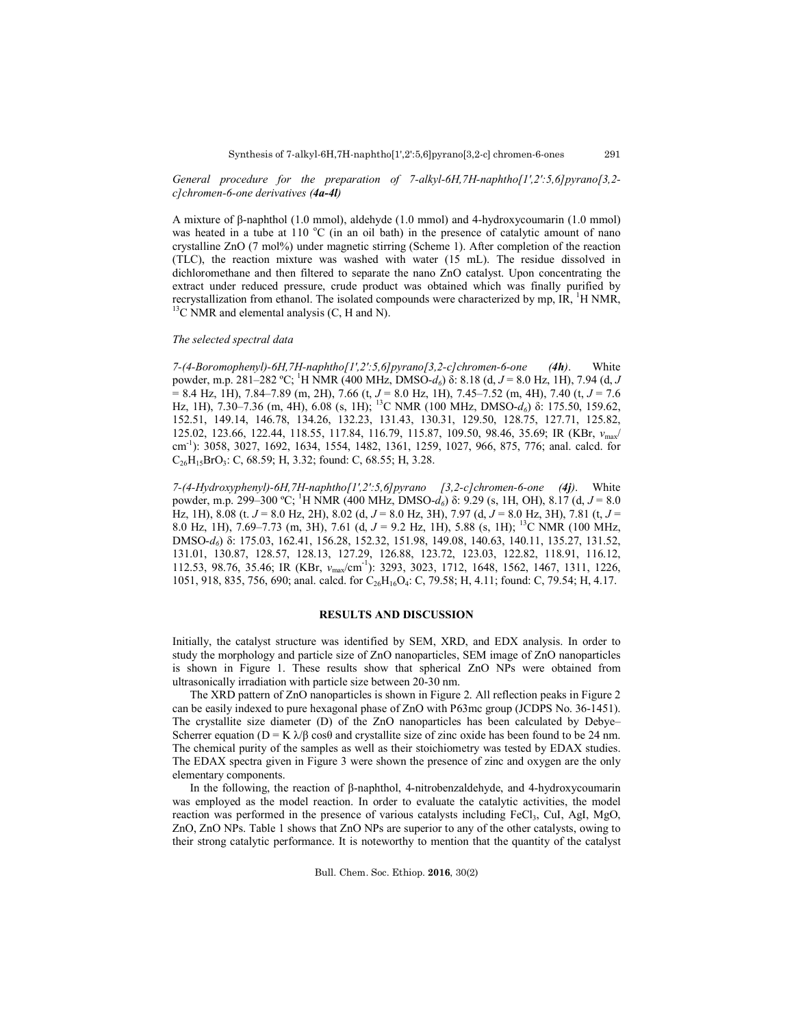291

*General procedure for the preparation of 7-alkyl-6H,7H-naphtho[1',2':5,6]pyrano[3,2 c]chromen-6-one derivatives (4a-4l)*

A mixture of β-naphthol (1.0 mmol), aldehyde (1.0 mmol) and 4-hydroxycoumarin (1.0 mmol) was heated in a tube at  $110\text{ °C}$  (in an oil bath) in the presence of catalytic amount of nano crystalline ZnO (7 mol%) under magnetic stirring (Scheme 1). After completion of the reaction (TLC), the reaction mixture was washed with water (15 mL). The residue dissolved in dichloromethane and then filtered to separate the nano ZnO catalyst. Upon concentrating the extract under reduced pressure, crude product was obtained which was finally purified by recrystallization from ethanol. The isolated compounds were characterized by mp,  $IR$ ,  $^1H NMR$ ,  $^{13}C NMR$  and elemental analysis (C, H and N).

### *The selected spectral data*

*7-(4-Boromophenyl)-6H,7H-naphtho[1',2':5,6]pyrano[3,2-c]chromen-6-one (4h)*. White powder, m.p. 281–282 ºC; <sup>1</sup> H NMR (400 MHz, DMSO-*d6*) δ: 8.18 (d, *J* = 8.0 Hz, 1H), 7.94 (d, *J* = 8.4 Hz, 1H), 7.84–7.89 (m, 2H), 7.66 (t, *J* = 8.0 Hz, 1H), 7.45–7.52 (m, 4H), 7.40 (t, *J* = 7.6 Hz, 1H), 7.30–7.36 (m, 4H), 6.08 (s, 1H); 13C NMR (100 MHz, DMSO-*d6*) δ: 175.50, 159.62, 152.51, 149.14, 146.78, 134.26, 132.23, 131.43, 130.31, 129.50, 128.75, 127.71, 125.82, 125.02, 123.66, 122.44, 118.55, 117.84, 116.79, 115.87, 109.50, 98.46, 35.69; IR (KBr, *v*<sub>max</sub>/ cm-1 ): 3058, 3027, 1692, 1634, 1554, 1482, 1361, 1259, 1027, 966, 875, 776; anal. calcd. for  $C_{26}H_{15}BrO_3$ : C, 68.59; H, 3.32; found: C, 68.55; H, 3.28.

*7-(4-Hydroxyphenyl)-6H,7H-naphtho[1',2':5,6]pyrano [3,2-c]chromen-6-one (4j)*. White powder, m.p. 299–300 ºC; <sup>1</sup> H NMR (400 MHz, DMSO-*d6*) δ: 9.29 (s, 1H, OH), 8.17 (d, *J* = 8.0 Hz, 1H), 8.08 (t. *J* = 8.0 Hz, 2H), 8.02 (d, *J* = 8.0 Hz, 3H), 7.97 (d, *J* = 8.0 Hz, 3H), 7.81 (t, *J* = 8.0 Hz, 1H), 7.69–7.73 (m, 3H), 7.61 (d, *J* = 9.2 Hz, 1H), 5.88 (s, 1H); 13C NMR (100 MHz, DMSO-*d6*) δ: 175.03, 162.41, 156.28, 152.32, 151.98, 149.08, 140.63, 140.11, 135.27, 131.52, 131.01, 130.87, 128.57, 128.13, 127.29, 126.88, 123.72, 123.03, 122.82, 118.91, 116.12, 112.53, 98.76, 35.46; IR (KBr,  $v_{\text{max}}/\text{cm}^{-1}$ ): 3293, 3023, 1712, 1648, 1562, 1467, 1311, 1226, 1051, 918, 835, 756, 690; anal. calcd. for C<sub>26</sub>H<sub>16</sub>O<sub>4</sub>: C, 79.58; H, 4.11; found: C, 79.54; H, 4.17.

### **RESULTS AND DISCUSSION**

Initially, the catalyst structure was identified by SEM, XRD, and EDX analysis. In order to study the morphology and particle size of ZnO nanoparticles, SEM image of ZnO nanoparticles is shown in Figure 1. These results show that spherical ZnO NPs were obtained from ultrasonically irradiation with particle size between 20-30 nm.

The XRD pattern of ZnO nanoparticles is shown in Figure 2. All reflection peaks in Figure 2 can be easily indexed to pure hexagonal phase of ZnO with P63mc group (JCDPS No. 36-1451). The crystallite size diameter (D) of the ZnO nanoparticles has been calculated by Debye– Scherrer equation ( $D = K \lambda/\beta \cos\theta$  and crystallite size of zinc oxide has been found to be 24 nm. The chemical purity of the samples as well as their stoichiometry was tested by EDAX studies. The EDAX spectra given in Figure 3 were shown the presence of zinc and oxygen are the only elementary components.

In the following, the reaction of β-naphthol, 4-nitrobenzaldehyde, and 4-hydroxycoumarin was employed as the model reaction. In order to evaluate the catalytic activities, the model reaction was performed in the presence of various catalysts including  $FeCl<sub>3</sub>$ , CuI, AgI, MgO, ZnO, ZnO NPs. Table 1 shows that ZnO NPs are superior to any of the other catalysts, owing to their strong catalytic performance. It is noteworthy to mention that the quantity of the catalyst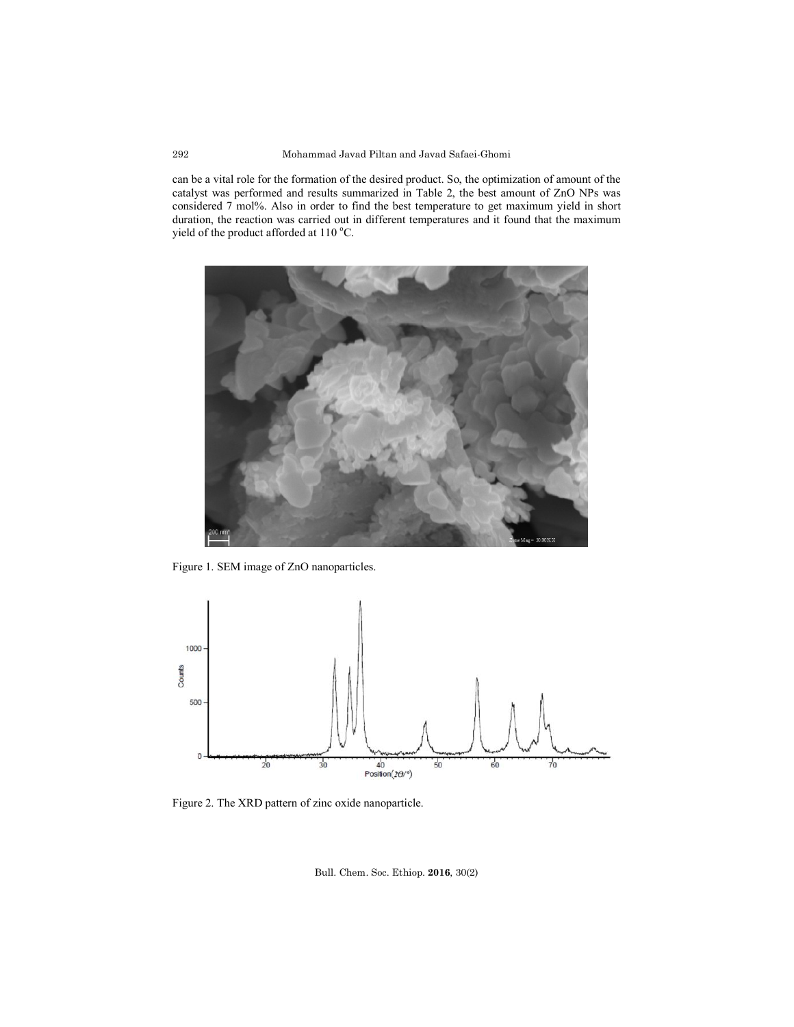can be a vital role for the formation of the desired product. So, the optimization of amount of the catalyst was performed and results summarized in Table 2, the best amount of ZnO NPs was considered 7 mol%. Also in order to find the best temperature to get maximum yield in short duration, the reaction was carried out in different temperatures and it found that the maximum yield of the product afforded at  $110^{\circ}$ C.



Figure 1. SEM image of ZnO nanoparticles.



Figure 2. The XRD pattern of zinc oxide nanoparticle.

Bull. Chem. Soc. Ethiop. **2016**, 30(2)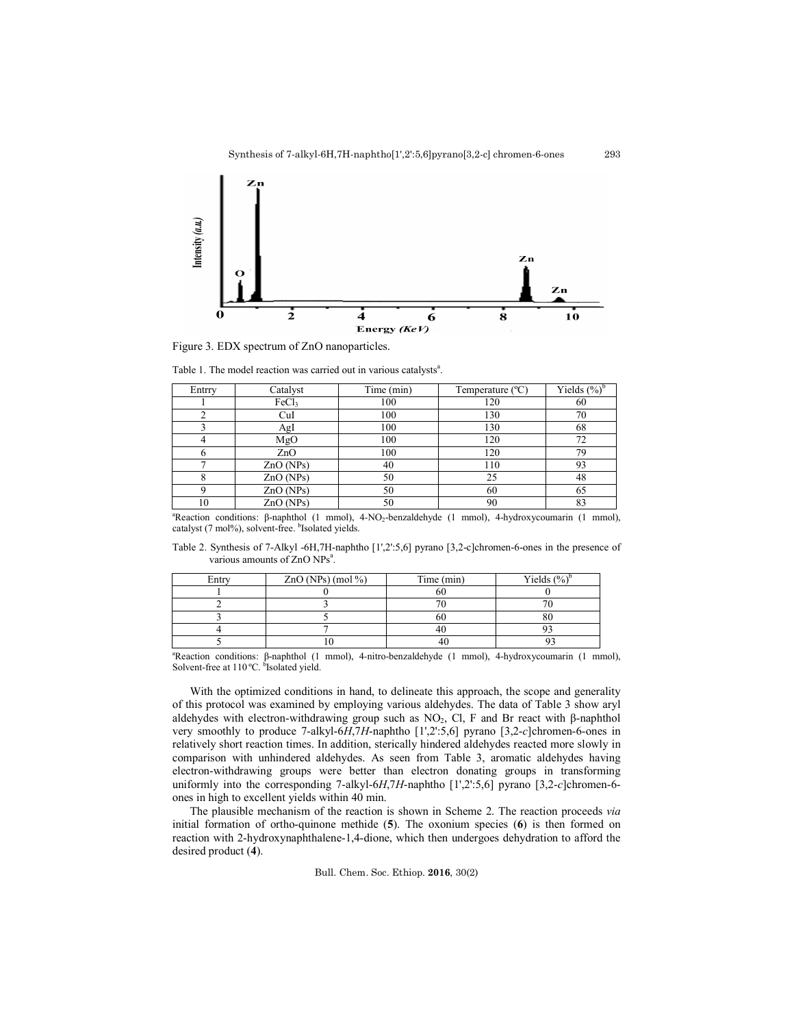293



Figure 3. EDX spectrum of ZnO nanoparticles.

Table 1. The model reaction was carried out in various catalysts<sup>a</sup>.

| Entrry | Catalyst          | Time (min) | Temperature $(^{\circ}C)$ | Yields $(\%)^{\dagger}$ |
|--------|-------------------|------------|---------------------------|-------------------------|
|        | FeCl <sub>3</sub> | 100        | 120                       | 60                      |
|        | CuI               | 100        | 130                       | 70                      |
|        | AgI               | 100        | 130                       | 68                      |
|        | MgO               | 100        | 120                       |                         |
|        | ZnO               | 100        | 120                       | 79                      |
|        | ZnO(NPs)          | 40         | 110                       | 93                      |
|        | ZnO(NPs)          | 50         | 25                        | 48                      |
|        | ZnO(NPs)          | 50         | 60                        | 65                      |
| 10     | ZnO(NPs)          | 50         | 90                        | 83                      |

a Reaction conditions: β-naphthol (1 mmol), 4*-*NO2-benzaldehyde (1 mmol), 4-hydroxycoumarin (1 mmol), catalyst (7 mol%), solvent-free. <sup>b</sup>Isolated yields.

Table 2. Synthesis of 7-Alkyl -6H,7H-naphtho [1',2':5,6] pyrano [3,2-c]chromen-6-ones in the presence of various amounts of ZnO NPs<sup>a</sup>.

| Entry | $ZnO(NPs)$ (mol %) | Time (min) | Yields $\frac{6}{6}$ |
|-------|--------------------|------------|----------------------|
|       |                    |            |                      |
|       |                    |            |                      |
|       |                    |            |                      |
|       |                    |            |                      |
|       |                    |            |                      |

a Reaction conditions: β-naphthol (1 mmol), 4*-*nitro-benzaldehyde (1 mmol), 4-hydroxycoumarin (1 mmol), Solvent-free at 110 °C. <sup>b</sup>Isolated yield.

With the optimized conditions in hand, to delineate this approach, the scope and generality of this protocol was examined by employing various aldehydes. The data of Table 3 show aryl aldehydes with electron-withdrawing group such as  $NO_2$ , Cl, F and Br react with β-naphthol very smoothly to produce 7-alkyl-6*H*,7*H*-naphtho [1',2':5,6] pyrano [3,2-*c*]chromen-6-ones in relatively short reaction times. In addition, sterically hindered aldehydes reacted more slowly in comparison with unhindered aldehydes. As seen from Table 3, aromatic aldehydes having electron-withdrawing groups were better than electron donating groups in transforming uniformly into the corresponding 7-alkyl-6*H*,7*H*-naphtho [1',2':5,6] pyrano [3,2-*c*]chromen-6 ones in high to excellent yields within 40 min.

The plausible mechanism of the reaction is shown in Scheme 2. The reaction proceeds *via* initial formation of ortho-quinone methide (**5**). The oxonium species (**6**) is then formed on reaction with 2-hydroxynaphthalene-1,4-dione, which then undergoes dehydration to afford the desired product (**4**).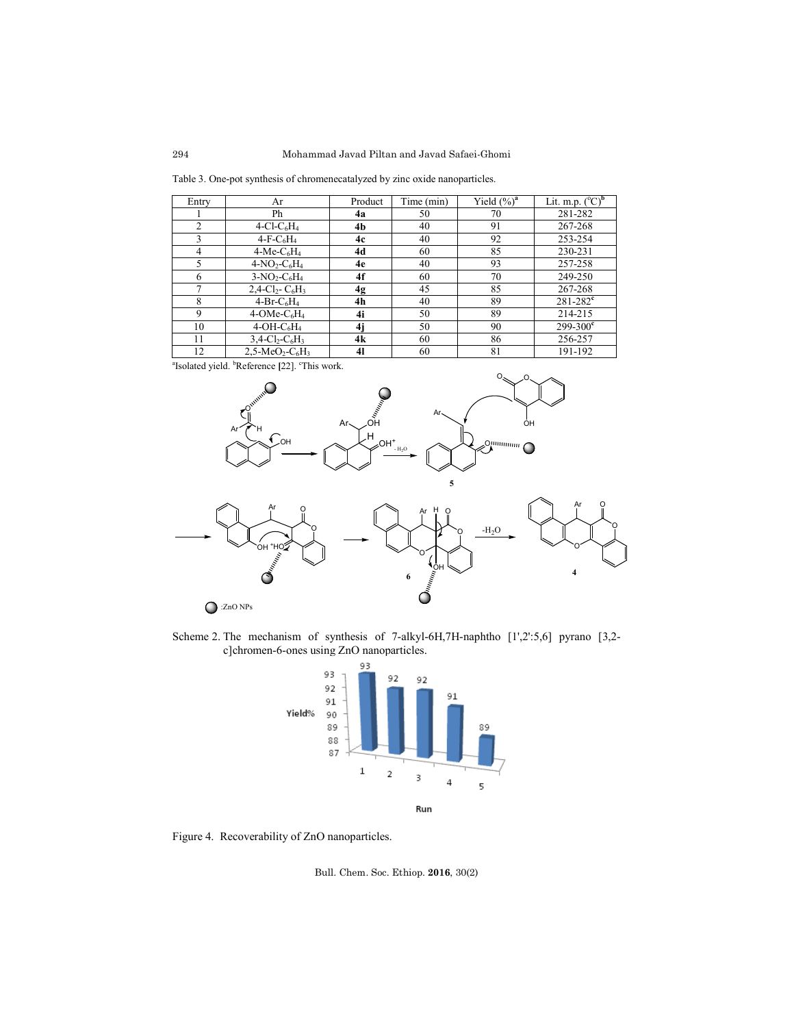Table 3. One-pot synthesis of chromenecatalyzed by zinc oxide nanoparticles.

| Entry          | Ar                                                     | Product | Time (min) | Yield $(\%)^a$ | Lit. m.p. $(^{\circ}C)$  |
|----------------|--------------------------------------------------------|---------|------------|----------------|--------------------------|
|                | Ph                                                     | 4a      | 50         | 70             | 281-282                  |
| 2              | $4$ -Cl-C <sub>6</sub> H <sub>4</sub>                  | 4b      | 40         | 91             | 267-268                  |
| 3              | $4-F-C6H4$                                             | 4c      | 40         | 92             | 253-254                  |
| $\overline{4}$ | $4$ -Me-C <sub>6</sub> H <sub>4</sub>                  | 4d      | 60         | 85             | 230-231                  |
| 5              | $4-NO_2-C_6H_4$                                        | 4e      | 40         | 93             | 257-258                  |
| 6              | $3-NO_2-C_6H_4$                                        | 4f      | 60         | 70             | 249-250                  |
|                | $2,4$ -Cl <sub>2</sub> - C <sub>6</sub> H <sub>3</sub> | 4g      | 45         | 85             | 267-268                  |
| 8              | $4-Br-C6H4$                                            | 4h      | 40         | 89             | $281 - 282$ <sup>c</sup> |
| 9              | $4$ -OMe-C <sub>6</sub> H <sub>4</sub>                 | 4i      | 50         | 89             | 214-215                  |
| 10             | $4-OH-C6H4$                                            | 4j      | 50         | 90             | $299 - 300^{\circ}$      |
| 11             | $3,4$ -Cl <sub>2</sub> -C <sub>6</sub> H <sub>3</sub>  | 4k      | 60         | 86             | 256-257                  |
| 12             | $2,5-MeO2-C6H3$                                        | 41      | 60         | 81             | 191-192                  |

<sup>a</sup>Isolated yield. <sup>b</sup>Reference [22]. <sup>c</sup>This work.



Scheme 2. The mechanism of synthesis of 7-alkyl-6H,7H-naphtho [1',2':5,6] pyrano [3,2 c]chromen-6-ones using ZnO nanoparticles.



Figure 4. Recoverability of ZnO nanoparticles.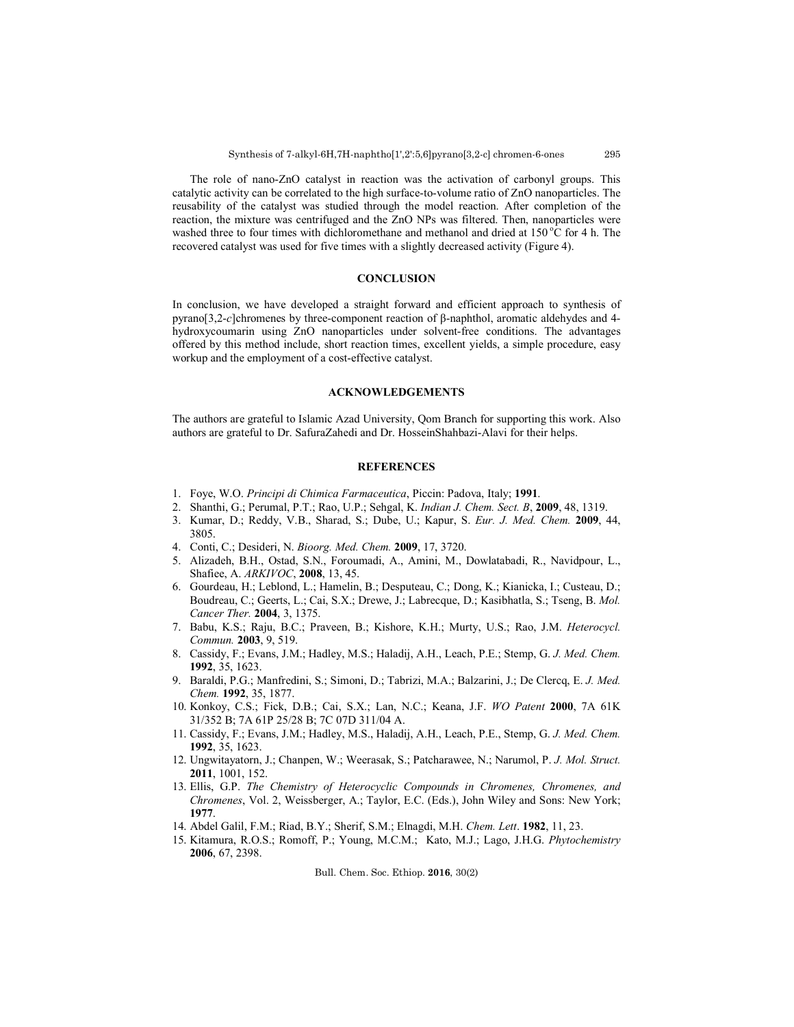The role of nano-ZnO catalyst in reaction was the activation of carbonyl groups. This catalytic activity can be correlated to the high surface-to-volume ratio of ZnO nanoparticles. The reusability of the catalyst was studied through the model reaction. After completion of the reaction, the mixture was centrifuged and the ZnO NPs was filtered. Then, nanoparticles were washed three to four times with dichloromethane and methanol and dried at  $150^{\circ}$ C for 4 h. The recovered catalyst was used for five times with a slightly decreased activity (Figure 4).

## **CONCLUSION**

In conclusion, we have developed a straight forward and efficient approach to synthesis of pyrano[3,2-*c*]chromenes by three-component reaction of β-naphthol, aromatic aldehydes and 4 hydroxycoumarin using ZnO nanoparticles under solvent-free conditions. The advantages offered by this method include, short reaction times, excellent yields, a simple procedure, easy workup and the employment of a cost-effective catalyst.

### **ACKNOWLEDGEMENTS**

The authors are grateful to Islamic Azad University, Qom Branch for supporting this work. Also authors are grateful to Dr. SafuraZahedi and Dr. HosseinShahbazi-Alavi for their helps.

# **REFERENCES**

- 1. Foye, W.O. *Principi di Chimica Farmaceutica*, Piccin: Padova, Italy; **1991**.
- 2. Shanthi, G.; Perumal, P.T.; Rao, U.P.; Sehgal, K. *Indian J. Chem. Sect. B*, **2009**, 48, 1319.
- 3. Kumar, D.; Reddy, V.B., Sharad, S.; Dube, U.; Kapur, S. *Eur. J. Med. Chem.* **2009**, 44, 3805.
- 4. Conti, C.; Desideri, N. *Bioorg. Med. Chem.* **2009**, 17, 3720.
- 5. Alizadeh, B.H., Ostad, S.N., Foroumadi, A., Amini, M., Dowlatabadi, R., Navidpour, L., Shafiee, A. *ARKIVOC*, **2008**, 13, 45.
- 6. Gourdeau, H.; Leblond, L.; Hamelin, B.; Desputeau, C.; Dong, K.; Kianicka, I.; Custeau, D.; Boudreau, C.; Geerts, L.; Cai, S.X.; Drewe, J.; Labrecque, D.; Kasibhatla, S.; Tseng, B. *Mol. Cancer Ther.* **2004**, 3, 1375.
- 7. Babu, K.S.; Raju, B.C.; Praveen, B.; Kishore, K.H.; Murty, U.S.; Rao, J.M. *Heterocycl. Commun.* **2003**, 9, 519.
- 8. Cassidy, F.; Evans, J.M.; Hadley, M.S.; Haladij, A.H., Leach, P.E.; Stemp, G. *J. Med. Chem.* **1992**, 35, 1623.
- 9. Baraldi, P.G.; Manfredini, S.; Simoni, D.; Tabrizi, M.A.; Balzarini, J.; De Clercq, E. *J. Med. Chem.* **1992**, 35, 1877.
- 10. Konkoy, C.S.; Fick, D.B.; Cai, S.X.; Lan, N.C.; Keana, J.F. *WO Patent* **2000**, 7A 61K 31/352 B; 7A 61P 25/28 B; 7C 07D 311/04 A.
- 11. Cassidy, F.; Evans, J.M.; Hadley, M.S., Haladij, A.H., Leach, P.E., Stemp, G. *J. Med. Chem.* **1992**, 35, 1623.
- 12. Ungwitayatorn, J.; Chanpen, W.; Weerasak, S.; Patcharawee, N.; Narumol, P. *J. Mol. Struct.*  **2011**, 1001, 152.
- 13. Ellis, G.P. *The Chemistry of Heterocyclic Compounds in Chromenes, Chromenes, and Chromenes*, Vol. 2, Weissberger, A.; Taylor, E.C. (Eds.), John Wiley and Sons: New York; **1977**.
- 14. Abdel Galil, F.M.; Riad, B.Y.; Sherif, S.M.; Elnagdi, M.H. *Chem. Lett*. **1982**, 11, 23.
- 15. Kitamura, R.O.S.; Romoff, P.; Young, M.C.M.; Kato, M.J.; Lago, J.H.G. *Phytochemistry* **2006**, 67, 2398.